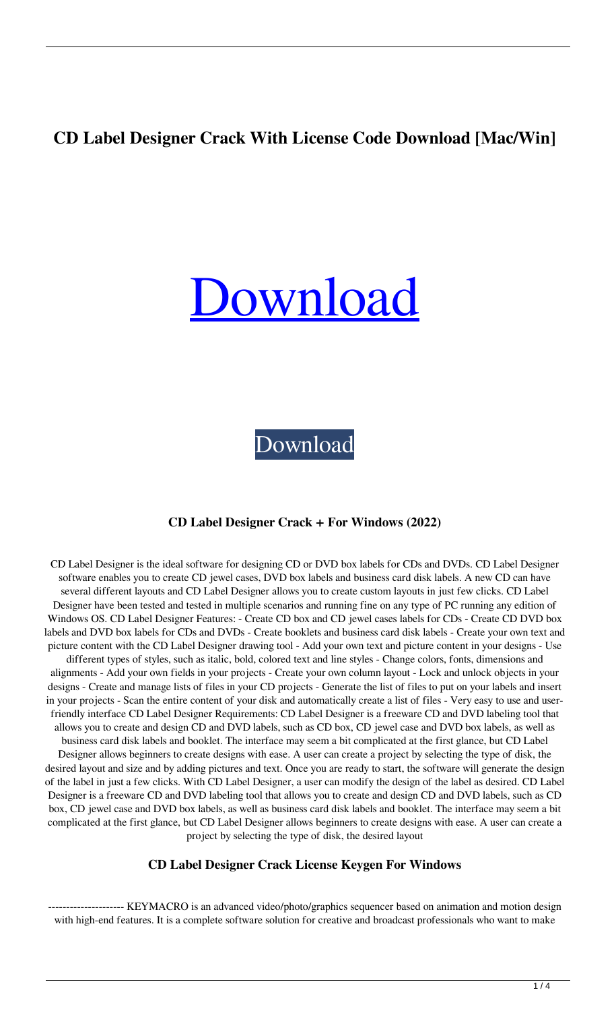# **CD Label Designer Crack With License Code Download [Mac/Win]**

# **Jownload**

[Download](http://evacdir.com/semi/clarkfield/areolae/employ/fellon/masticate/tensile=ZG93bmxvYWR8emMwT0hwemIzeDhNVFkxTkRRek5qWTFPSHg4TWpVNU1IeDhLRTBwSUZkdmNtUndjbVZ6Y3lCYldFMU1VbEJESUZZeUlGQkVSbDA.Q0QgTGFiZWwgRGVzaWduZXIQ0Q)

#### **CD Label Designer Crack + For Windows (2022)**

CD Label Designer is the ideal software for designing CD or DVD box labels for CDs and DVDs. CD Label Designer software enables you to create CD jewel cases, DVD box labels and business card disk labels. A new CD can have several different layouts and CD Label Designer allows you to create custom layouts in just few clicks. CD Label Designer have been tested and tested in multiple scenarios and running fine on any type of PC running any edition of Windows OS. CD Label Designer Features: - Create CD box and CD jewel cases labels for CDs - Create CD DVD box labels and DVD box labels for CDs and DVDs - Create booklets and business card disk labels - Create your own text and picture content with the CD Label Designer drawing tool - Add your own text and picture content in your designs - Use different types of styles, such as italic, bold, colored text and line styles - Change colors, fonts, dimensions and alignments - Add your own fields in your projects - Create your own column layout - Lock and unlock objects in your designs - Create and manage lists of files in your CD projects - Generate the list of files to put on your labels and insert in your projects - Scan the entire content of your disk and automatically create a list of files - Very easy to use and userfriendly interface CD Label Designer Requirements: CD Label Designer is a freeware CD and DVD labeling tool that allows you to create and design CD and DVD labels, such as CD box, CD jewel case and DVD box labels, as well as business card disk labels and booklet. The interface may seem a bit complicated at the first glance, but CD Label Designer allows beginners to create designs with ease. A user can create a project by selecting the type of disk, the desired layout and size and by adding pictures and text. Once you are ready to start, the software will generate the design of the label in just a few clicks. With CD Label Designer, a user can modify the design of the label as desired. CD Label Designer is a freeware CD and DVD labeling tool that allows you to create and design CD and DVD labels, such as CD box, CD jewel case and DVD box labels, as well as business card disk labels and booklet. The interface may seem a bit complicated at the first glance, but CD Label Designer allows beginners to create designs with ease. A user can create a project by selecting the type of disk, the desired layout

#### **CD Label Designer Crack License Keygen For Windows**

------ KEYMACRO is an advanced video/photo/graphics sequencer based on animation and motion design with high-end features. It is a complete software solution for creative and broadcast professionals who want to make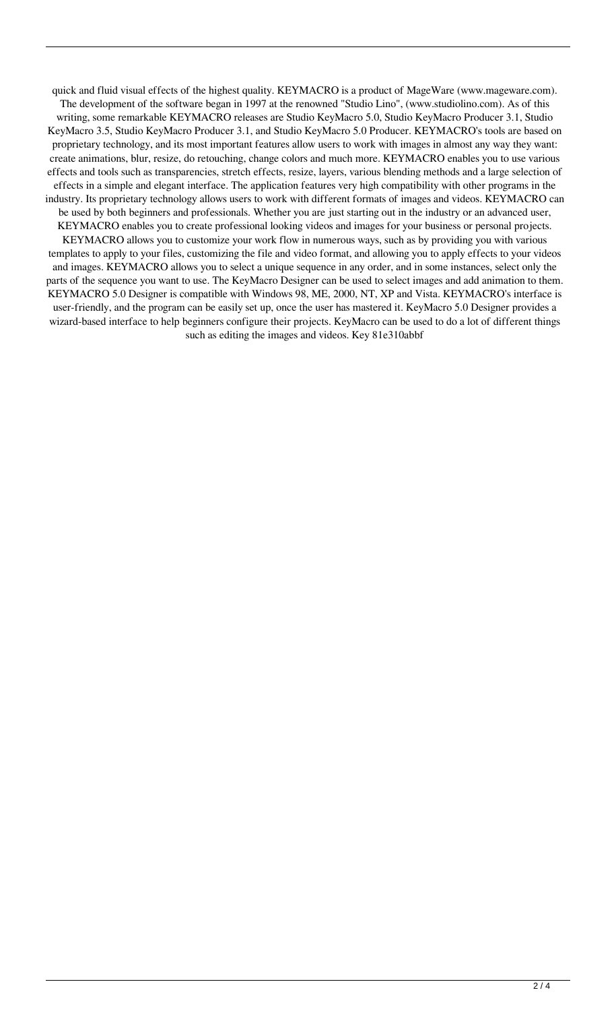quick and fluid visual effects of the highest quality. KEYMACRO is a product of MageWare (www.mageware.com). The development of the software began in 1997 at the renowned "Studio Lino", (www.studiolino.com). As of this writing, some remarkable KEYMACRO releases are Studio KeyMacro 5.0, Studio KeyMacro Producer 3.1, Studio KeyMacro 3.5, Studio KeyMacro Producer 3.1, and Studio KeyMacro 5.0 Producer. KEYMACRO's tools are based on proprietary technology, and its most important features allow users to work with images in almost any way they want: create animations, blur, resize, do retouching, change colors and much more. KEYMACRO enables you to use various effects and tools such as transparencies, stretch effects, resize, layers, various blending methods and a large selection of effects in a simple and elegant interface. The application features very high compatibility with other programs in the industry. Its proprietary technology allows users to work with different formats of images and videos. KEYMACRO can be used by both beginners and professionals. Whether you are just starting out in the industry or an advanced user, KEYMACRO enables you to create professional looking videos and images for your business or personal projects. KEYMACRO allows you to customize your work flow in numerous ways, such as by providing you with various templates to apply to your files, customizing the file and video format, and allowing you to apply effects to your videos and images. KEYMACRO allows you to select a unique sequence in any order, and in some instances, select only the parts of the sequence you want to use. The KeyMacro Designer can be used to select images and add animation to them. KEYMACRO 5.0 Designer is compatible with Windows 98, ME, 2000, NT, XP and Vista. KEYMACRO's interface is user-friendly, and the program can be easily set up, once the user has mastered it. KeyMacro 5.0 Designer provides a wizard-based interface to help beginners configure their projects. KeyMacro can be used to do a lot of different things such as editing the images and videos. Key 81e310abbf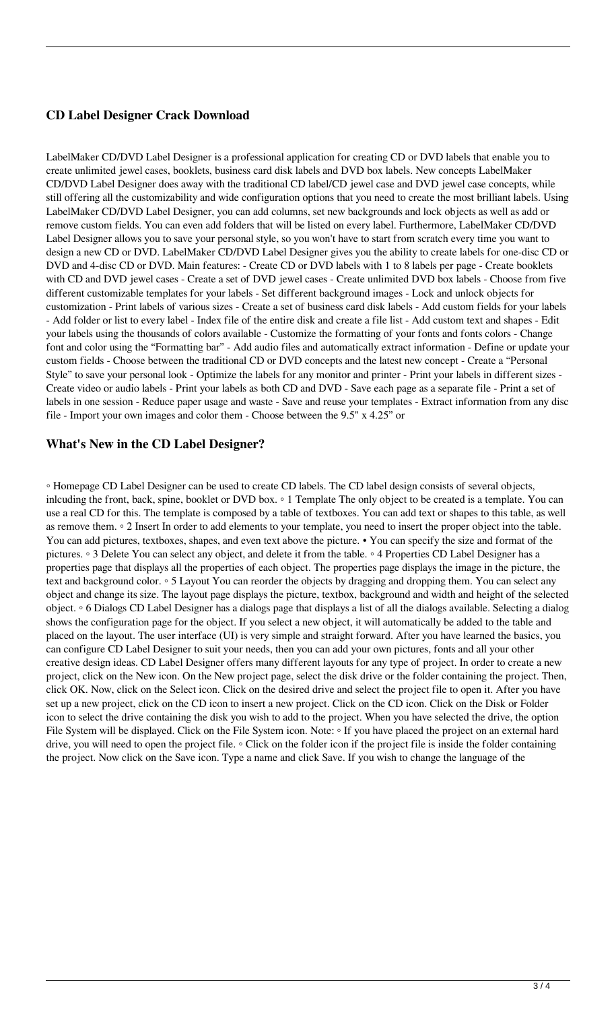## **CD Label Designer Crack Download**

LabelMaker CD/DVD Label Designer is a professional application for creating CD or DVD labels that enable you to create unlimited jewel cases, booklets, business card disk labels and DVD box labels. New concepts LabelMaker CD/DVD Label Designer does away with the traditional CD label/CD jewel case and DVD jewel case concepts, while still offering all the customizability and wide configuration options that you need to create the most brilliant labels. Using LabelMaker CD/DVD Label Designer, you can add columns, set new backgrounds and lock objects as well as add or remove custom fields. You can even add folders that will be listed on every label. Furthermore, LabelMaker CD/DVD Label Designer allows you to save your personal style, so you won't have to start from scratch every time you want to design a new CD or DVD. LabelMaker CD/DVD Label Designer gives you the ability to create labels for one-disc CD or DVD and 4-disc CD or DVD. Main features: - Create CD or DVD labels with 1 to 8 labels per page - Create booklets with CD and DVD jewel cases - Create a set of DVD jewel cases - Create unlimited DVD box labels - Choose from five different customizable templates for your labels - Set different background images - Lock and unlock objects for customization - Print labels of various sizes - Create a set of business card disk labels - Add custom fields for your labels - Add folder or list to every label - Index file of the entire disk and create a file list - Add custom text and shapes - Edit your labels using the thousands of colors available - Customize the formatting of your fonts and fonts colors - Change font and color using the "Formatting bar" - Add audio files and automatically extract information - Define or update your custom fields - Choose between the traditional CD or DVD concepts and the latest new concept - Create a "Personal Style" to save your personal look - Optimize the labels for any monitor and printer - Print your labels in different sizes - Create video or audio labels - Print your labels as both CD and DVD - Save each page as a separate file - Print a set of labels in one session - Reduce paper usage and waste - Save and reuse your templates - Extract information from any disc file - Import your own images and color them - Choose between the 9.5" x 4.25" or

### **What's New in the CD Label Designer?**

◦ Homepage CD Label Designer can be used to create CD labels. The CD label design consists of several objects, inlcuding the front, back, spine, booklet or DVD box. ◦ 1 Template The only object to be created is a template. You can use a real CD for this. The template is composed by a table of textboxes. You can add text or shapes to this table, as well as remove them. ◦ 2 Insert In order to add elements to your template, you need to insert the proper object into the table. You can add pictures, textboxes, shapes, and even text above the picture. • You can specify the size and format of the pictures. ◦ 3 Delete You can select any object, and delete it from the table. ◦ 4 Properties CD Label Designer has a properties page that displays all the properties of each object. The properties page displays the image in the picture, the text and background color. ◦ 5 Layout You can reorder the objects by dragging and dropping them. You can select any object and change its size. The layout page displays the picture, textbox, background and width and height of the selected object. ◦ 6 Dialogs CD Label Designer has a dialogs page that displays a list of all the dialogs available. Selecting a dialog shows the configuration page for the object. If you select a new object, it will automatically be added to the table and placed on the layout. The user interface (UI) is very simple and straight forward. After you have learned the basics, you can configure CD Label Designer to suit your needs, then you can add your own pictures, fonts and all your other creative design ideas. CD Label Designer offers many different layouts for any type of project. In order to create a new project, click on the New icon. On the New project page, select the disk drive or the folder containing the project. Then, click OK. Now, click on the Select icon. Click on the desired drive and select the project file to open it. After you have set up a new project, click on the CD icon to insert a new project. Click on the CD icon. Click on the Disk or Folder icon to select the drive containing the disk you wish to add to the project. When you have selected the drive, the option File System will be displayed. Click on the File System icon. Note: ◦ If you have placed the project on an external hard drive, you will need to open the project file. ◦ Click on the folder icon if the project file is inside the folder containing the project. Now click on the Save icon. Type a name and click Save. If you wish to change the language of the